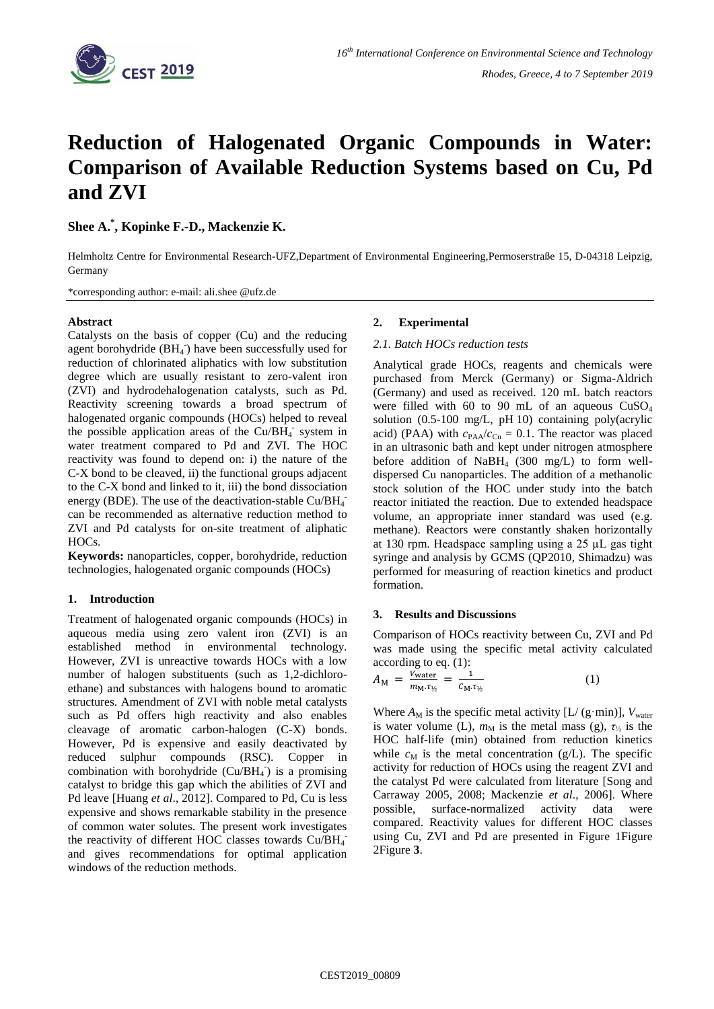

# **Reduction of Halogenated Organic Compounds in Water: Comparison of Available Reduction Systems based on Cu, Pd and ZVI**

**Shee A. \* , Kopinke F.-D., Mackenzie K.**

Helmholtz Centre for Environmental Research-UFZ,Department of Environmental Engineering,Permoserstraße 15, D-04318 Leipzig, Germany

\*corresponding author: e-mail: ali.shee @ufz.de

# **Abstract**

Catalysts on the basis of copper (Cu) and the reducing agent borohydride (BH<sub>4</sub><sup>-</sup>) have been successfully used for reduction of chlorinated aliphatics with low substitution degree which are usually resistant to zero-valent iron (ZVI) and hydrodehalogenation catalysts, such as Pd. Reactivity screening towards a broad spectrum of halogenated organic compounds (HOCs) helped to reveal the possible application areas of the  $Cu/BH<sub>4</sub>$  system in water treatment compared to Pd and ZVI. The HOC reactivity was found to depend on: i) the nature of the C-X bond to be cleaved, ii) the functional groups adjacent to the C-X bond and linked to it, iii) the bond dissociation energy (BDE). The use of the deactivation-stable  $Cu/BH_4^$ can be recommended as alternative reduction method to ZVI and Pd catalysts for on-site treatment of aliphatic HOCs.

**Keywords:** nanoparticles, copper, borohydride, reduction technologies, halogenated organic compounds (HOCs)

# **1. Introduction**

Treatment of halogenated organic compounds (HOCs) in aqueous media using zero valent iron (ZVI) is an established method in environmental technology. However, ZVI is unreactive towards HOCs with a low number of halogen substituents (such as 1,2-dichloroethane) and substances with halogens bound to aromatic structures. Amendment of ZVI with noble metal catalysts such as Pd offers high reactivity and also enables cleavage of aromatic carbon-halogen (C-X) bonds. However, Pd is expensive and easily deactivated by reduced sulphur compounds (RSC). Copper in combination with borohydride  $(Cu/BH_4)$  is a promising catalyst to bridge this gap which the abilities of ZVI and Pd leave [Huang *et al*., 2012]. Compared to Pd, Cu is less expensive and shows remarkable stability in the presence of common water solutes. The present work investigates the reactivity of different HOC classes towards  $Cu/BH_4^$ and gives recommendations for optimal application windows of the reduction methods.

# **2. Experimental**

## *2.1. Batch HOCs reduction tests*

Analytical grade HOCs, reagents and chemicals were purchased from Merck (Germany) or Sigma-Aldrich (Germany) and used as received. 120 mL batch reactors were filled with 60 to 90 mL of an aqueous  $CuSO<sub>4</sub>$ solution (0.5-100 mg/L, pH 10) containing poly(acrylic acid) (PAA) with  $c_{PAA}/c_{Cu} = 0.1$ . The reactor was placed in an ultrasonic bath and kept under nitrogen atmosphere before addition of  $NabH_4$  (300 mg/L) to form welldispersed Cu nanoparticles. The addition of a methanolic stock solution of the HOC under study into the batch reactor initiated the reaction. Due to extended headspace volume, an appropriate inner standard was used (e.g. methane). Reactors were constantly shaken horizontally at 130 rpm. Headspace sampling using a 25 µL gas tight syringe and analysis by GCMS (QP2010, Shimadzu) was performed for measuring of reaction kinetics and product formation.

### **3. Results and Discussions**

Comparison of HOCs reactivity between Cu, ZVI and Pd was made using the specific metal activity calculated according to eq. (1):

$$
A_{\rm M} = \frac{V_{\rm water}}{m_{\rm M} \tau_{\nu_2}} = \frac{1}{C_{\rm M} \tau_{\nu_2}} \tag{1}
$$

Where  $A_M$  is the specific metal activity  $[L/(g\cdot min)]$ ,  $V_{water}$ is water volume (L),  $m_M$  is the metal mass (g),  $\tau_{\frac{1}{2}}$  is the HOC half-life (min) obtained from reduction kinetics while  $c_M$  is the metal concentration (g/L). The specific activity for reduction of HOCs using the reagent ZVI and the catalyst Pd were calculated from literature [Song and Carraway 2005, 2008; Mackenzie *et al*., 2006]. Where possible, surface-normalized activity data were compared. Reactivity values for different HOC classes using Cu, ZVI and Pd are presented in [Figure 1Figure](#page-1-0)  [2Figure](#page-1-1) **3**.